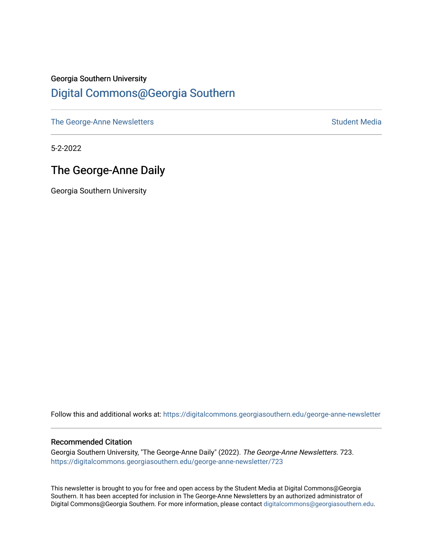# Georgia Southern University [Digital Commons@Georgia Southern](https://digitalcommons.georgiasouthern.edu/)

[The George-Anne Newsletters](https://digitalcommons.georgiasouthern.edu/george-anne-newsletter) **Student Media** Student Media

5-2-2022

# The George-Anne Daily

Georgia Southern University

Follow this and additional works at: [https://digitalcommons.georgiasouthern.edu/george-anne-newsletter](https://digitalcommons.georgiasouthern.edu/george-anne-newsletter?utm_source=digitalcommons.georgiasouthern.edu%2Fgeorge-anne-newsletter%2F723&utm_medium=PDF&utm_campaign=PDFCoverPages)

### Recommended Citation

Georgia Southern University, "The George-Anne Daily" (2022). The George-Anne Newsletters. 723. [https://digitalcommons.georgiasouthern.edu/george-anne-newsletter/723](https://digitalcommons.georgiasouthern.edu/george-anne-newsletter/723?utm_source=digitalcommons.georgiasouthern.edu%2Fgeorge-anne-newsletter%2F723&utm_medium=PDF&utm_campaign=PDFCoverPages) 

This newsletter is brought to you for free and open access by the Student Media at Digital Commons@Georgia Southern. It has been accepted for inclusion in The George-Anne Newsletters by an authorized administrator of Digital Commons@Georgia Southern. For more information, please contact [digitalcommons@georgiasouthern.edu.](mailto:digitalcommons@georgiasouthern.edu)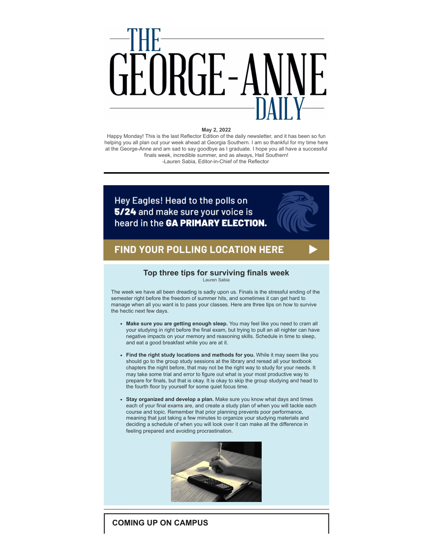

#### **May 2, 2022**

Happy Monday! This is the last Reflector Edition of the daily newsletter, and it has been so fun helping you all plan out your week ahead at Georgia Southern. I am so thankful for my time here at the George-Anne and am sad to say goodbye as I graduate. I hope you all have a successful finals week, incredible summer, and as always, Hail Southern! -Lauren Sabia, Editor-in-Chief of the Reflector

Hey Eagles! Head to the polls on 5/24 and make sure your voice is heard in the GA PRIMARY ELECTION.



## **FIND YOUR POLLING LOCATION HERE**

## **Top three tips for surviving finals week**

Lauren Sabia

The week we have all been dreading is sadly upon us. Finals is the stressful ending of the semester right before the freedom of summer hits, and sometimes it can get hard to manage when all you want is to pass your classes. Here are three tips on how to survive the hectic next few days.

- **Make sure you are getting enough sleep.** You may feel like you need to cram all your studying in right before the final exam, but trying to pull an all nighter can have negative impacts on your memory and reasoning skills. Schedule in time to sleep, and eat a good breakfast while you are at it.
- **Find the right study locations and methods for you.** While it may seem like you should go to the group study sessions at the library and reread all your textbook chapters the night before, that may not be the right way to study for your needs. It may take some trial and error to figure out what is your most productive way to prepare for finals, but that is okay. It is okay to skip the group studying and head to the fourth floor by yourself for some quiet focus time.
- **Stay organized and develop a plan.** Make sure you know what days and times each of your final exams are, and create a study plan of when you will tackle each course and topic. Remember that prior planning prevents poor performance, meaning that just taking a few minutes to organize your studying materials and deciding a schedule of when you will look over it can make all the difference in feeling prepared and avoiding procrastination.



## **COMING UP ON CAMPUS**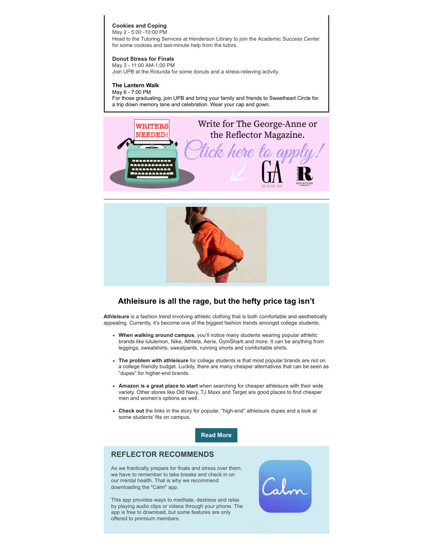#### **Cookies and Coping** May 2 - 5:00 -10:00 PM

Head to the Tutoring Services at Henderson Library to join the Academic Success Center for some cookies and last-minute help from the tutors.

#### **Donut Stress for Finals** May 3 - 11:00 AM-1:00 PM

Join UPB at the Rotunda for some donuts and a stress-relieving activity.

#### **The Lantern Walk**

#### May 6 - 7:00 PM

For those graduating, join UPB and bring your family and friends to Sweetheart Circle for a trip down memory lane and celebration. Wear your cap and gown.





### **[Athleisure is all the rage, but the hefty price tag isn't](https://r20.rs6.net/tn.jsp?f=001Gvs6IkfA7bgFu7bot44mpkmet2u3OCGSk-OTls1_eeJvHpPXsOP9usg_yq0ND5waa0FwaF1E-HdDkn2NwEcCtQhX2emM8vAhM2efw_pzqpoOfMbeflajwbW4KltYxpcuyp0xs_bnHphuc0tR3x5jJ9U3G77wKdoUV0bUKZ6UNY5Jbly3lvIdwGNoQsEhnAMxReqAtvI0nXPwrTKUjtm5WmJ514LnkbWMabAx28py73iaHlaNV2fTv8L2W5CsNyEW&c=cfvuQoj23grOAmQH6X6dDKo6gHKIHG_Qt-eRllW2ZjBfFrLOFMgF_w==&ch=EA_iU4F0zVmGBQs0ywjv1IBJ4l4QSTym9QSrJA__GkCQbDo4ZdtPgw==)**

**Athleisure** is a fashion trend involving athletic clothing that is both comfortable and aesthetically appealing. Currently, it's become one of the biggest fashion trends amongst college students.

- **When walking around campus**, you'll notice many students wearing popular athletic brands like lululemon, Nike, Athleta, Aerie, GymShark and more. It can be anything from leggings, sweatshirts, sweatpants, running shorts and comfortable shirts.
- **The problem with athleisure** for college students is that most popular brands are not on a college friendly budget. Luckily, there are many cheaper alternatives that can be seen as "dupes" for higher-end brands.
- **Amazon is a great place to start** when searching for cheaper athleisure with their wide variety. Other stores like Old Navy, TJ Maxx and Target are good places to find cheaper men and women's options as well.
- **Check out** the links in the story for popular, "high-end" athleisure dupes and a look at some students' fits on campus.

**[Read](https://r20.rs6.net/tn.jsp?f=001Gvs6IkfA7bgFu7bot44mpkmet2u3OCGSk-OTls1_eeJvHpPXsOP9usg_yq0ND5waa0FwaF1E-HdDkn2NwEcCtQhX2emM8vAhM2efw_pzqpoOfMbeflajwbW4KltYxpcuyp0xs_bnHphuc0tR3x5jJ9U3G77wKdoUV0bUKZ6UNY5Jbly3lvIdwGNoQsEhnAMxReqAtvI0nXPwrTKUjtm5WmJ514LnkbWMabAx28py73iaHlaNV2fTv8L2W5CsNyEW&c=cfvuQoj23grOAmQH6X6dDKo6gHKIHG_Qt-eRllW2ZjBfFrLOFMgF_w==&ch=EA_iU4F0zVmGBQs0ywjv1IBJ4l4QSTym9QSrJA__GkCQbDo4ZdtPgw==) More**

## **REFLECTOR RECOMMENDS**

As we frantically prepare for finals and stress over them, we have to remember to take breaks and check in on our mental health. That is why we recommend downloading the "Calm" app.

This app provides ways to meditate, destress and relax by playing audio clips or videos through your phone. The app is free to download, but some features are only offered to premium members.